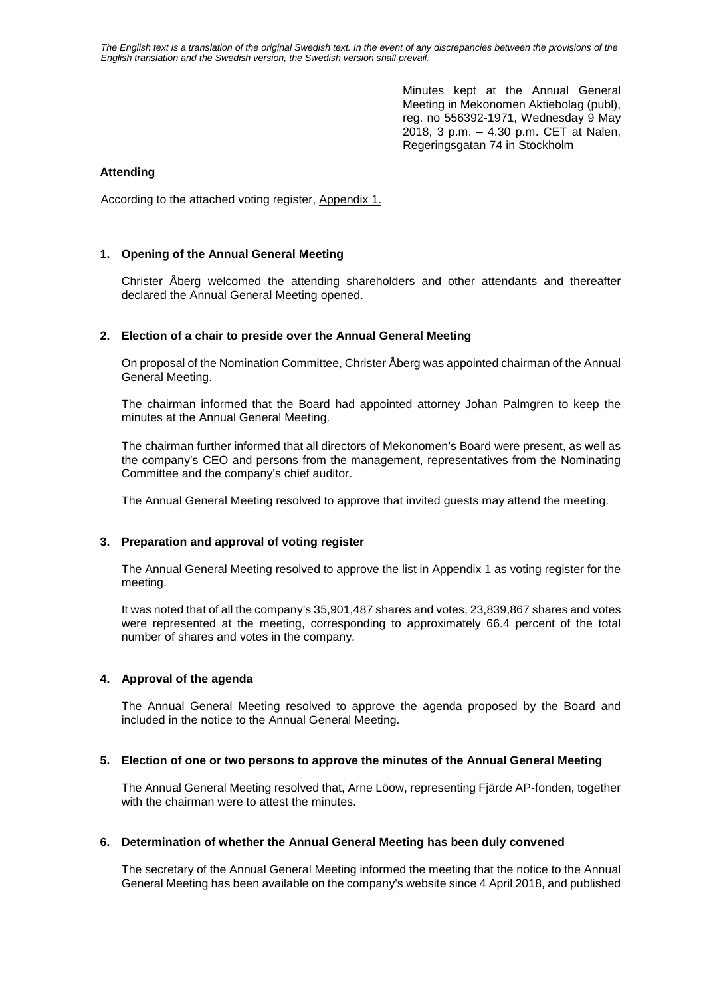*The English text is a translation of the original Swedish text. In the event of any discrepancies between the provisions of the English translation and the Swedish version, the Swedish version shall prevail.*

> Minutes kept at the Annual General Meeting in Mekonomen Aktiebolag (publ), reg. no 556392-1971, Wednesday 9 May 2018, 3 p.m. – 4.30 p.m. CET at Nalen, Regeringsgatan 74 in Stockholm

## **Attending**

According to the attached voting register, Appendix 1.

## **1. Opening of the Annual General Meeting**

Christer Åberg welcomed the attending shareholders and other attendants and thereafter declared the Annual General Meeting opened.

## **2. Election of a chair to preside over the Annual General Meeting**

On proposal of the Nomination Committee, Christer Åberg was appointed chairman of the Annual General Meeting.

The chairman informed that the Board had appointed attorney Johan Palmgren to keep the minutes at the Annual General Meeting.

The chairman further informed that all directors of Mekonomen's Board were present, as well as the company's CEO and persons from the management, representatives from the Nominating Committee and the company's chief auditor.

The Annual General Meeting resolved to approve that invited guests may attend the meeting.

## **3. Preparation and approval of voting register**

The Annual General Meeting resolved to approve the list in Appendix 1 as voting register for the meeting.

It was noted that of all the company's 35,901,487 shares and votes, 23,839,867 shares and votes were represented at the meeting, corresponding to approximately 66.4 percent of the total number of shares and votes in the company.

## **4. Approval of the agenda**

The Annual General Meeting resolved to approve the agenda proposed by the Board and included in the notice to the Annual General Meeting.

## **5. Election of one or two persons to approve the minutes of the Annual General Meeting**

The Annual General Meeting resolved that, Arne Lööw, representing Fjärde AP-fonden, together with the chairman were to attest the minutes.

## **6. Determination of whether the Annual General Meeting has been duly convened**

The secretary of the Annual General Meeting informed the meeting that the notice to the Annual General Meeting has been available on the company's website since 4 April 2018, and published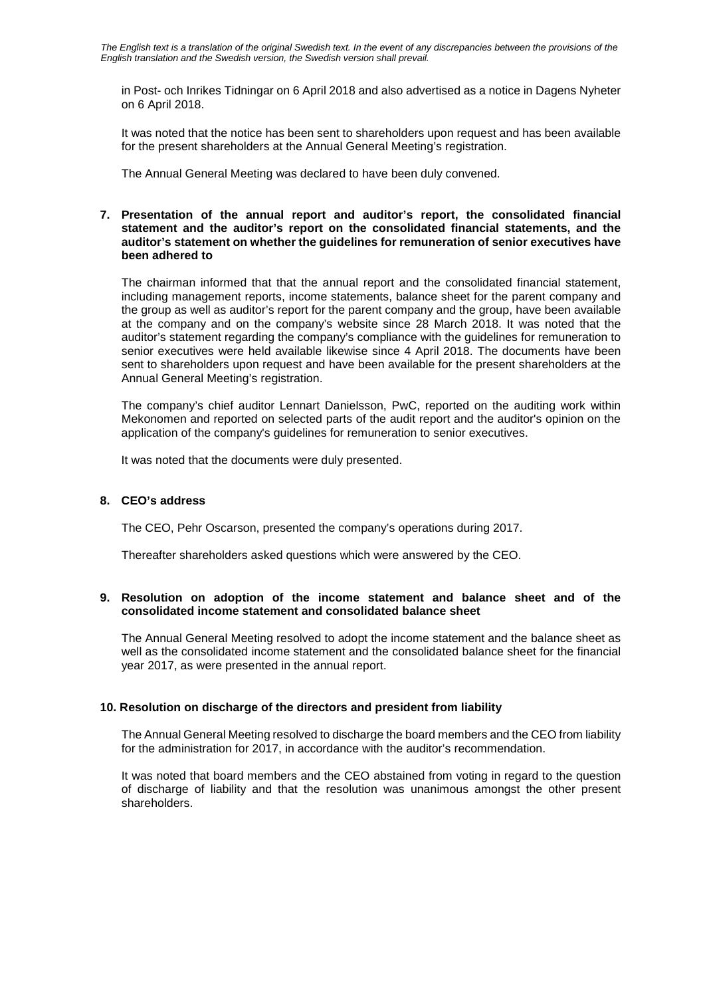in Post- och Inrikes Tidningar on 6 April 2018 and also advertised as a notice in Dagens Nyheter on 6 April 2018.

It was noted that the notice has been sent to shareholders upon request and has been available for the present shareholders at the Annual General Meeting's registration.

The Annual General Meeting was declared to have been duly convened.

## **7. Presentation of the annual report and auditor's report, the consolidated financial statement and the auditor's report on the consolidated financial statements, and the auditor's statement on whether the guidelines for remuneration of senior executives have been adhered to**

The chairman informed that that the annual report and the consolidated financial statement, including management reports, income statements, balance sheet for the parent company and the group as well as auditor's report for the parent company and the group, have been available at the company and on the company's website since 28 March 2018. It was noted that the auditor's statement regarding the company's compliance with the guidelines for remuneration to senior executives were held available likewise since 4 April 2018. The documents have been sent to shareholders upon request and have been available for the present shareholders at the Annual General Meeting's registration.

The company's chief auditor Lennart Danielsson, PwC, reported on the auditing work within Mekonomen and reported on selected parts of the audit report and the auditor's opinion on the application of the company's guidelines for remuneration to senior executives.

It was noted that the documents were duly presented.

## **8. CEO's address**

The CEO, Pehr Oscarson, presented the company's operations during 2017.

Thereafter shareholders asked questions which were answered by the CEO.

## **9. Resolution on adoption of the income statement and balance sheet and of the consolidated income statement and consolidated balance sheet**

The Annual General Meeting resolved to adopt the income statement and the balance sheet as well as the consolidated income statement and the consolidated balance sheet for the financial year 2017, as were presented in the annual report.

## **10. Resolution on discharge of the directors and president from liability**

The Annual General Meeting resolved to discharge the board members and the CEO from liability for the administration for 2017, in accordance with the auditor's recommendation.

It was noted that board members and the CEO abstained from voting in regard to the question of discharge of liability and that the resolution was unanimous amongst the other present shareholders.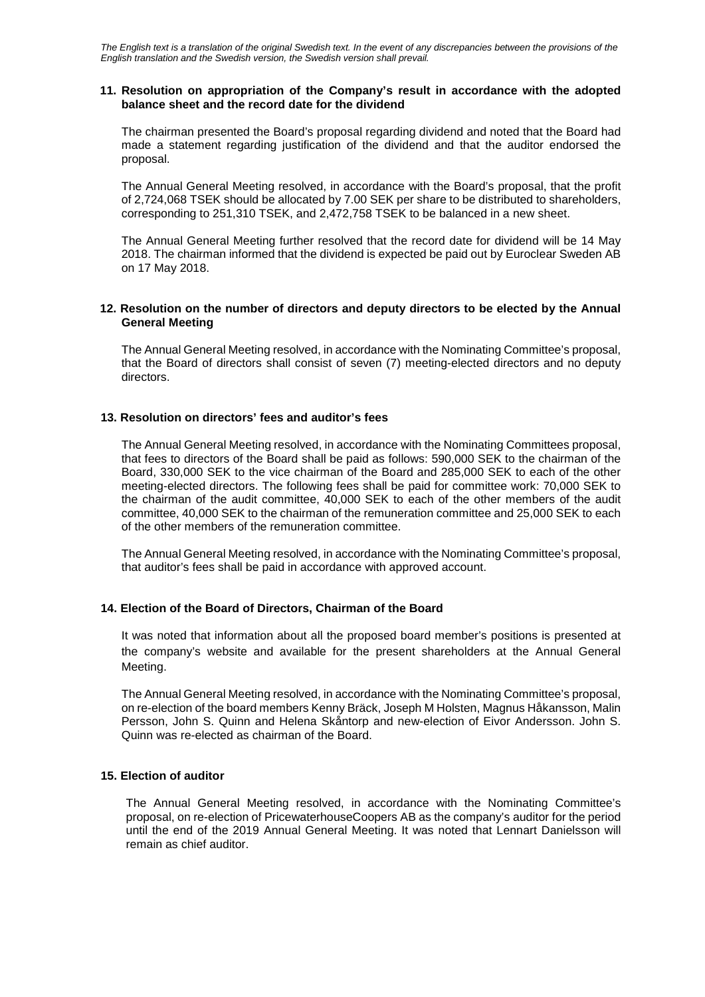*The English text is a translation of the original Swedish text. In the event of any discrepancies between the provisions of the English translation and the Swedish version, the Swedish version shall prevail.*

## **11. Resolution on appropriation of the Company's result in accordance with the adopted balance sheet and the record date for the dividend**

The chairman presented the Board's proposal regarding dividend and noted that the Board had made a statement regarding justification of the dividend and that the auditor endorsed the proposal.

The Annual General Meeting resolved, in accordance with the Board's proposal, that the profit of 2,724,068 TSEK should be allocated by 7.00 SEK per share to be distributed to shareholders, corresponding to 251,310 TSEK, and 2,472,758 TSEK to be balanced in a new sheet.

The Annual General Meeting further resolved that the record date for dividend will be 14 May 2018. The chairman informed that the dividend is expected be paid out by Euroclear Sweden AB on 17 May 2018.

## **12. Resolution on the number of directors and deputy directors to be elected by the Annual General Meeting**

The Annual General Meeting resolved, in accordance with the Nominating Committee's proposal, that the Board of directors shall consist of seven (7) meeting-elected directors and no deputy directors.

## **13. Resolution on directors' fees and auditor's fees**

The Annual General Meeting resolved, in accordance with the Nominating Committees proposal, that fees to directors of the Board shall be paid as follows: 590,000 SEK to the chairman of the Board, 330,000 SEK to the vice chairman of the Board and 285,000 SEK to each of the other meeting-elected directors. The following fees shall be paid for committee work: 70,000 SEK to the chairman of the audit committee, 40,000 SEK to each of the other members of the audit committee, 40,000 SEK to the chairman of the remuneration committee and 25,000 SEK to each of the other members of the remuneration committee.

The Annual General Meeting resolved, in accordance with the Nominating Committee's proposal, that auditor's fees shall be paid in accordance with approved account.

## **14. Election of the Board of Directors, Chairman of the Board**

It was noted that information about all the proposed board member's positions is presented at the company's website and available for the present shareholders at the Annual General Meeting.

The Annual General Meeting resolved, in accordance with the Nominating Committee's proposal, on re-election of the board members Kenny Bräck, Joseph M Holsten, Magnus Håkansson, Malin Persson, John S. Quinn and Helena Skåntorp and new-election of Eivor Andersson. John S. Quinn was re-elected as chairman of the Board.

## **15. Election of auditor**

The Annual General Meeting resolved, in accordance with the Nominating Committee's proposal, on re-election of PricewaterhouseCoopers AB as the company's auditor for the period until the end of the 2019 Annual General Meeting. It was noted that Lennart Danielsson will remain as chief auditor.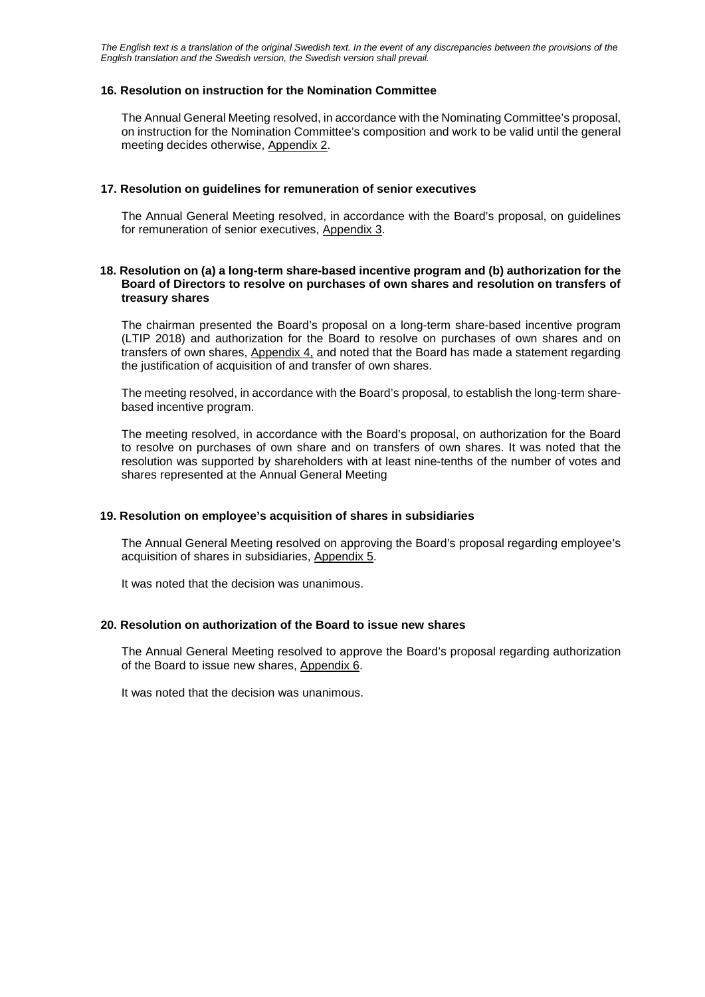## **16. Resolution on instruction for the Nomination Committee**

The Annual General Meeting resolved, in accordance with the Nominating Committee's proposal, on instruction for the Nomination Committee's composition and work to be valid until the general meeting decides otherwise, Appendix 2.

## **17. Resolution on guidelines for remuneration of senior executives**

The Annual General Meeting resolved, in accordance with the Board's proposal, on guidelines for remuneration of senior executives, Appendix 3.

## **18. Resolution on (a) a long-term share-based incentive program and (b) authorization for the Board of Directors to resolve on purchases of own shares and resolution on transfers of treasury shares**

The chairman presented the Board's proposal on a long-term share-based incentive program (LTIP 2018) and authorization for the Board to resolve on purchases of own shares and on transfers of own shares, Appendix 4, and noted that the Board has made a statement regarding the justification of acquisition of and transfer of own shares.

The meeting resolved, in accordance with the Board's proposal, to establish the long-term sharebased incentive program.

The meeting resolved, in accordance with the Board's proposal, on authorization for the Board to resolve on purchases of own share and on transfers of own shares. It was noted that the resolution was supported by shareholders with at least nine-tenths of the number of votes and shares represented at the Annual General Meeting

## **19. Resolution on employee's acquisition of shares in subsidiaries**

The Annual General Meeting resolved on approving the Board's proposal regarding employee's acquisition of shares in subsidiaries, Appendix 5.

It was noted that the decision was unanimous.

## **20. Resolution on authorization of the Board to issue new shares**

The Annual General Meeting resolved to approve the Board's proposal regarding authorization of the Board to issue new shares, Appendix 6.

It was noted that the decision was unanimous.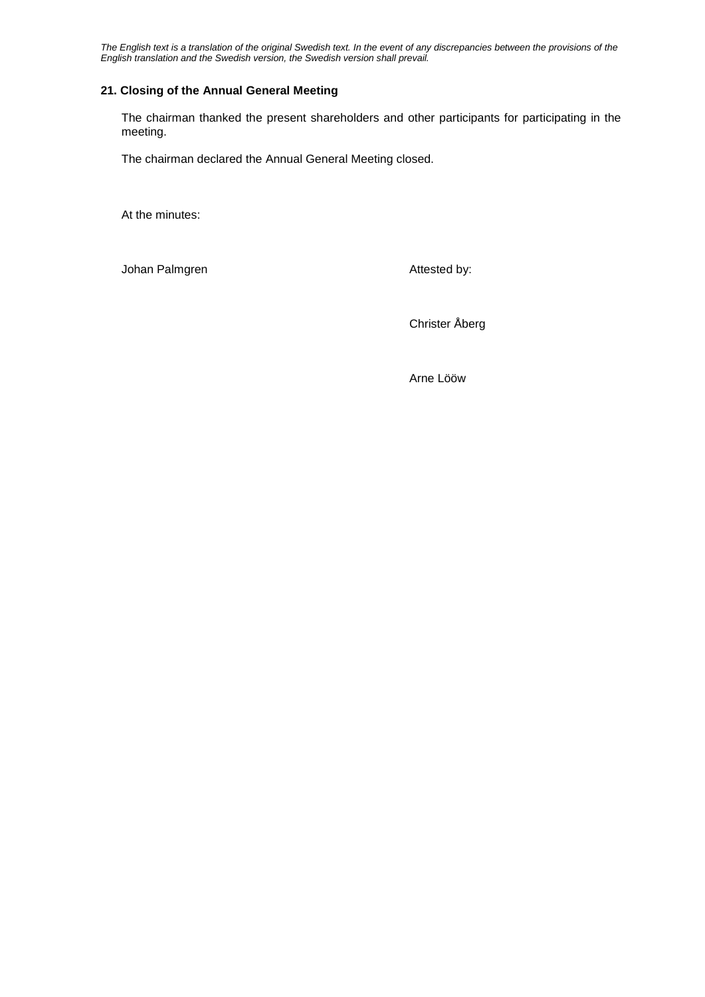*The English text is a translation of the original Swedish text. In the event of any discrepancies between the provisions of the English translation and the Swedish version, the Swedish version shall prevail.*

## **21. Closing of the Annual General Meeting**

The chairman thanked the present shareholders and other participants for participating in the meeting.

The chairman declared the Annual General Meeting closed.

At the minutes:

Johan Palmgren **Attested** by:

Christer Åberg

Arne Lööw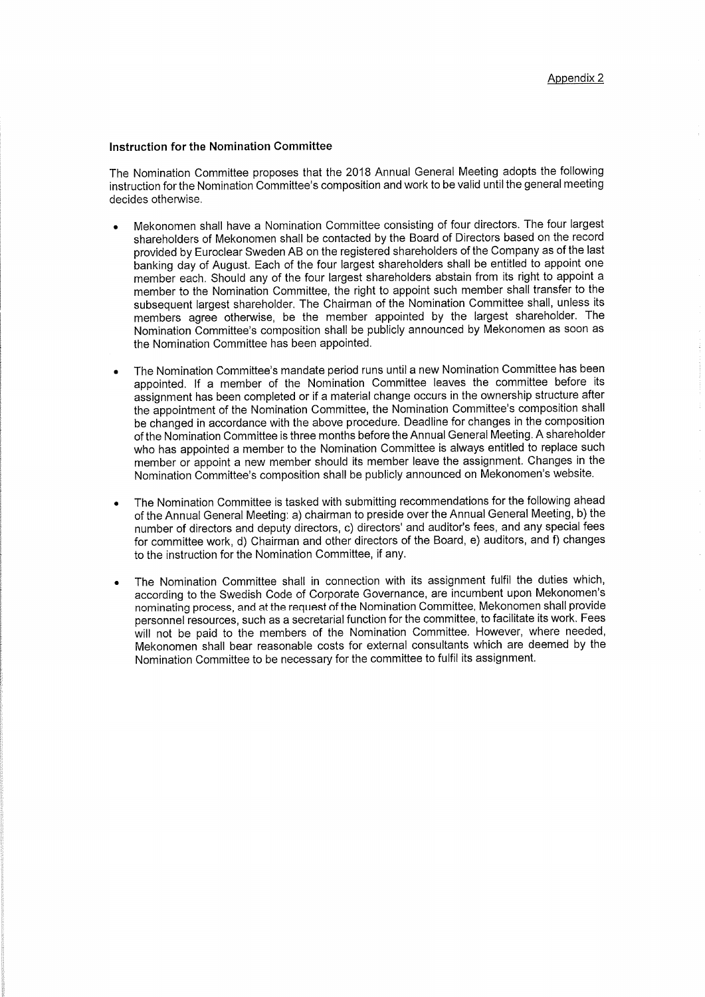## **Instruction for the Nomination Committee**

The Nomination Committee proposes that the 2018 Annual General Meeting adopts the following instruction for the Nomination Committee's composition and work to be valid until the general meeting decides otherwise.

- Mekonomen shall have a Nomination Committee consisting of four directors. The four largest  $\bullet$ shareholders of Mekonomen shall be contacted by the Board of Directors based on the record provided by Euroclear Sweden AB on the registered shareholders of the Company as of the last banking day of August. Each of the four largest shareholders shall be entitled to appoint one member each. Should any of the four largest shareholders abstain from its right to appoint a member to the Nomination Committee, the right to appoint such member shall transfer to the subsequent largest shareholder. The Chairman of the Nomination Committee shall, unless its members agree otherwise, be the member appointed by the largest shareholder. The Nomination Committee's composition shall be publicly announced by Mekonomen as soon as the Nomination Committee has been appointed.
- The Nomination Committee's mandate period runs until a new Nomination Committee has been appointed. If a member of the Nomination Committee leaves the committee before its assignment has been completed or if a material change occurs in the ownership structure after the appointment of the Nomination Committee, the Nomination Committee's composition shall be changed in accordance with the above procedure. Deadline for changes in the composition of the Nomination Committee is three months before the Annual General Meeting. A shareholder who has appointed a member to the Nomination Committee is always entitled to replace such member or appoint a new member should its member leave the assignment. Changes in the Nomination Committee's composition shall be publicly announced on Mekonomen's website.
- The Nomination Committee is tasked with submitting recommendations for the following ahead of the Annual General Meeting: a) chairman to preside over the Annual General Meeting, b) the number of directors and deputy directors, c) directors' and auditor's fees, and any special fees for committee work, d) Chairman and other directors of the Board, e) auditors, and f) changes to the instruction for the Nomination Committee, if any.
- The Nomination Committee shall in connection with its assignment fulfil the duties which, according to the Swedish Code of Corporate Governance, are incumbent upon Mekonomen's nominating process, and at the request of the Nomination Committee, Mekonomen shall provide personnel resources, such as a secretarial function for the committee, to facilitate its work. Fees will not be paid to the members of the Nomination Committee. However, where needed, Mekonomen shall bear reasonable costs for external consultants which are deemed by the Nomination Committee to be necessary for the committee to fulfil its assignment.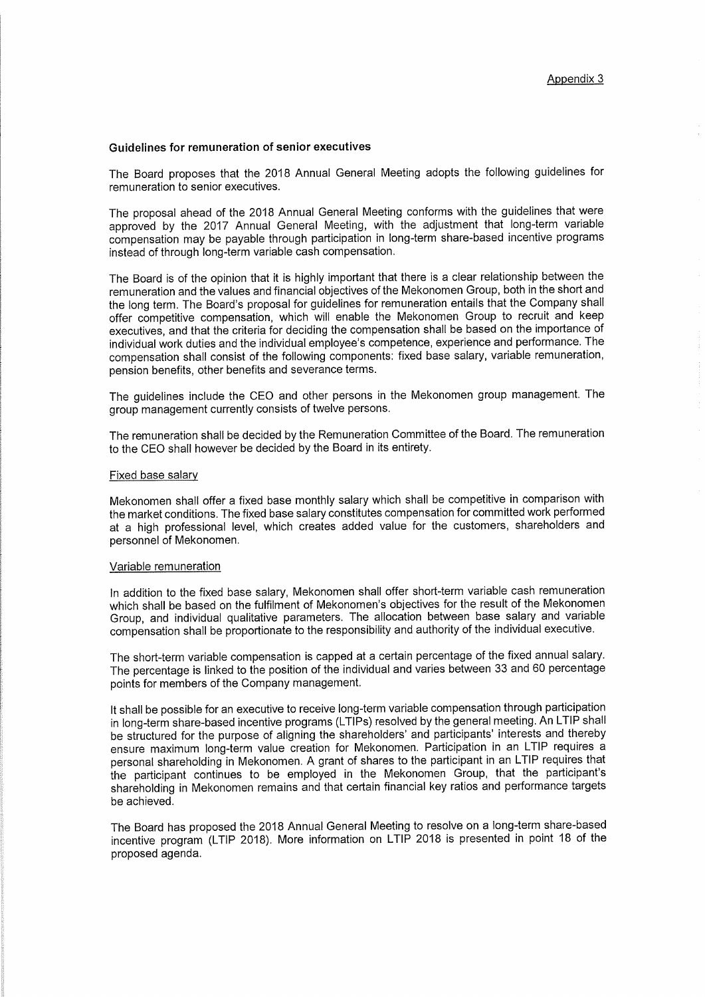### Guidelines for remuneration of senior executives

The Board proposes that the 2018 Annual General Meeting adopts the following guidelines for remuneration to senior executives.

The proposal ahead of the 2018 Annual General Meeting conforms with the guidelines that were approved by the 2017 Annual General Meeting, with the adjustment that long-term variable compensation may be payable through participation in long-term share-based incentive programs instead of through long-term variable cash compensation.

The Board is of the opinion that it is highly important that there is a clear relationship between the remuneration and the values and financial objectives of the Mekonomen Group, both in the short and the long term. The Board's proposal for guidelines for remuneration entails that the Company shall offer competitive compensation, which will enable the Mekonomen Group to recruit and keep executives, and that the criteria for deciding the compensation shall be based on the importance of individual work duties and the individual employee's competence, experience and performance. The compensation shall consist of the following components: fixed base salary, variable remuneration, pension benefits, other benefits and severance terms.

The guidelines include the CEO and other persons in the Mekonomen group management. The group management currently consists of twelve persons.

The remuneration shall be decided by the Remuneration Committee of the Board. The remuneration to the CEO shall however be decided by the Board in its entirety.

### Fixed base salary

Mekonomen shall offer a fixed base monthly salary which shall be competitive in comparison with the market conditions. The fixed base salary constitutes compensation for committed work performed at a high professional level, which creates added value for the customers, shareholders and personnel of Mekonomen.

### Variable remuneration

In addition to the fixed base salary, Mekonomen shall offer short-term variable cash remuneration which shall be based on the fulfilment of Mekonomen's objectives for the result of the Mekonomen Group, and individual qualitative parameters. The allocation between base salary and variable compensation shall be proportionate to the responsibility and authority of the individual executive.

The short-term variable compensation is capped at a certain percentage of the fixed annual salary. The percentage is linked to the position of the individual and varies between 33 and 60 percentage points for members of the Company management.

It shall be possible for an executive to receive long-term variable compensation through participation in long-term share-based incentive programs (LTIPs) resolved by the general meeting. An LTIP shall be structured for the purpose of aligning the shareholders' and participants' interests and thereby ensure maximum long-term value creation for Mekonomen. Participation in an LTIP requires a personal shareholding in Mekonomen. A grant of shares to the participant in an LTIP requires that the participant continues to be employed in the Mekonomen Group, that the participant's shareholding in Mekonomen remains and that certain financial key ratios and performance targets be achieved.

The Board has proposed the 2018 Annual General Meeting to resolve on a long-term share-based incentive program (LTIP 2018). More information on LTIP 2018 is presented in point 18 of the proposed agenda.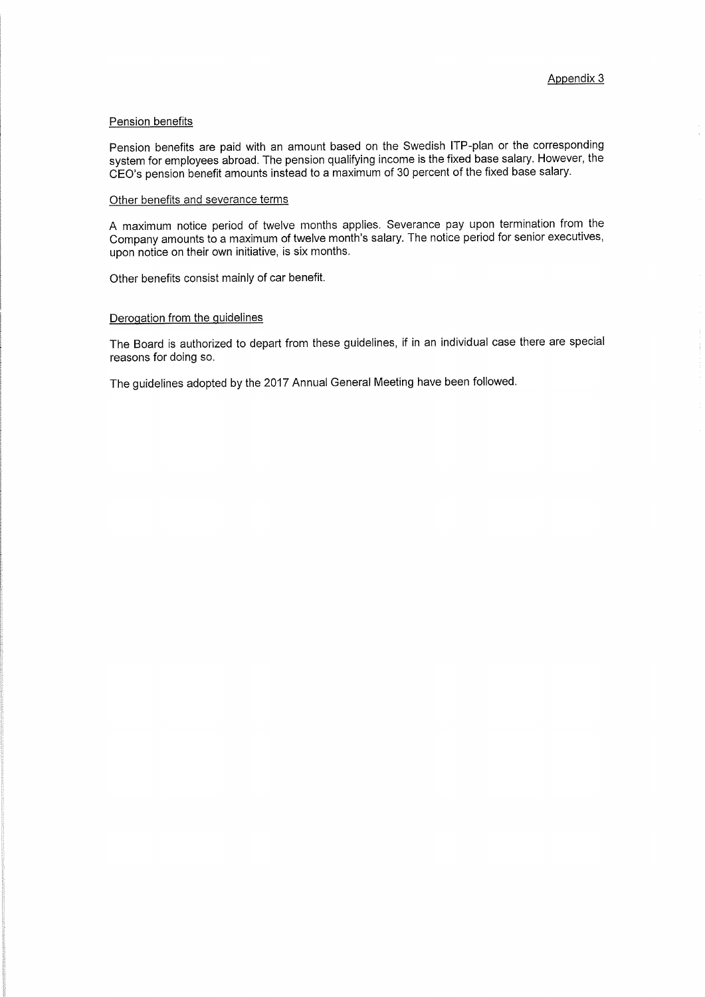### Pension benefits

Pension benefits are paid with an amount based on the Swedish ITP-plan or the corresponding system for employees abroad. The pension qualifying income is the fixed base salary. However, the CEO's pension benefit amounts instead to a maximum of 30 percent of the fixed base salary.

### Other benefits and severance terms

A maximum notice period of twelve months applies. Severance pay upon termination from the Company amounts to a maximum of twelve month's salary. The notice period for senior executives, upon notice on their own initiative, is six months.

Other benefits consist mainly of car benefit.

## Derogation from the guidelines

The Board is authorized to depart from these guidelines, if in an individual case there are special reasons for doing so.

The guidelines adopted by the 2017 Annual General Meeting have been followed.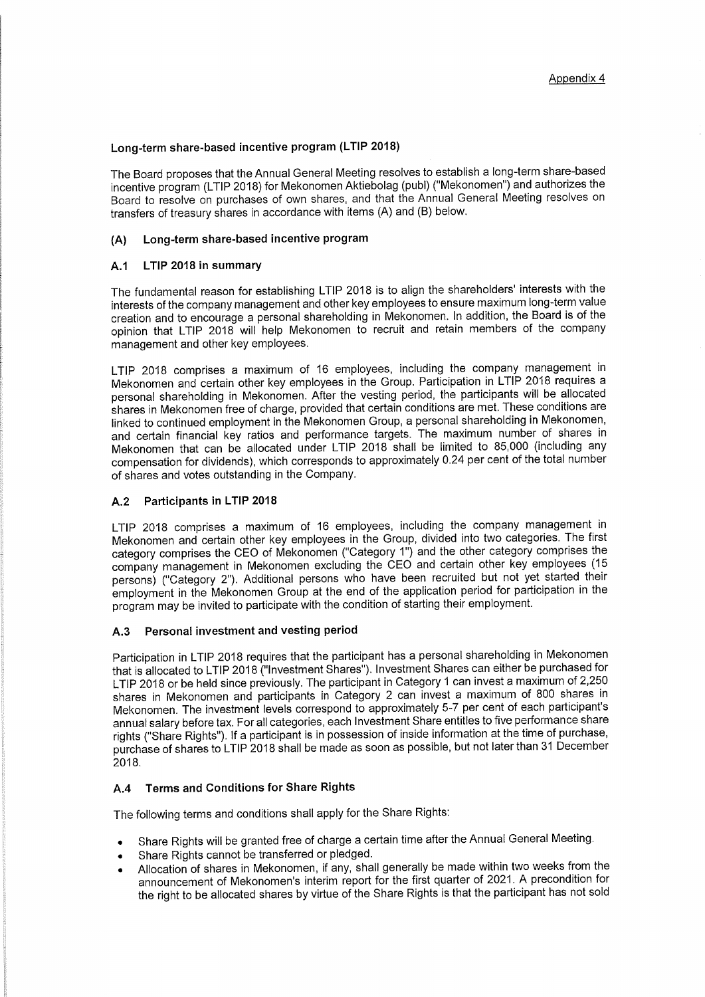## Long-term share-based incentive program (LTIP 2018)

The Board proposes that the Annual General Meeting resolves to establish a long-term share-based incentive program (LTIP 2018) for Mekonomen Aktiebolag (publ) ("Mekonomen") and authorizes the Board to resolve on purchases of own shares, and that the Annual General Meeting resolves on transfers of treasury shares in accordance with items (A) and (B) below.

#### Long-term share-based incentive program  $(A)$

#### LTIP 2018 in summary  $A.1$

The fundamental reason for establishing LTIP 2018 is to align the shareholders' interests with the interests of the company management and other key employees to ensure maximum long-term value creation and to encourage a personal shareholding in Mekonomen. In addition, the Board is of the opinion that LTIP 2018 will help Mekonomen to recruit and retain members of the company management and other key employees.

LTIP 2018 comprises a maximum of 16 employees, including the company management in Mekonomen and certain other key employees in the Group. Participation in LTIP 2018 requires a personal shareholding in Mekonomen. After the vesting period, the participants will be allocated shares in Mekonomen free of charge, provided that certain conditions are met. These conditions are linked to continued employment in the Mekonomen Group, a personal shareholding in Mekonomen, and certain financial key ratios and performance targets. The maximum number of shares in Mekonomen that can be allocated under LTIP 2018 shall be limited to 85,000 (including any compensation for dividends), which corresponds to approximately 0.24 per cent of the total number of shares and votes outstanding in the Company.

#### Participants in LTIP 2018  $A.2$

LTIP 2018 comprises a maximum of 16 employees, including the company management in Mekonomen and certain other key employees in the Group, divided into two categories. The first category comprises the CEO of Mekonomen ("Category 1") and the other category comprises the company management in Mekonomen excluding the CEO and certain other key employees (15 persons) ("Category 2"). Additional persons who have been recruited but not yet started their employment in the Mekonomen Group at the end of the application period for participation in the program may be invited to participate with the condition of starting their employment.

#### Personal investment and vesting period  $A.3$

Participation in LTIP 2018 requires that the participant has a personal shareholding in Mekonomen that is allocated to LTIP 2018 ("Investment Shares"). Investment Shares can either be purchased for LTIP 2018 or be held since previously. The participant in Category 1 can invest a maximum of 2,250 shares in Mekonomen and participants in Category 2 can invest a maximum of 800 shares in Mekonomen. The investment levels correspond to approximately 5-7 per cent of each participant's annual salary before tax. For all categories, each Investment Share entitles to five performance share rights ("Share Rights"). If a participant is in possession of inside information at the time of purchase, purchase of shares to LTIP 2018 shall be made as soon as possible, but not later than 31 December 2018.

#### **Terms and Conditions for Share Rights**  $A.4$

The following terms and conditions shall apply for the Share Rights:

- Share Rights will be granted free of charge a certain time after the Annual General Meeting.
- Share Rights cannot be transferred or pledged.
- Allocation of shares in Mekonomen, if any, shall generally be made within two weeks from the announcement of Mekonomen's interim report for the first quarter of 2021. A precondition for the right to be allocated shares by virtue of the Share Rights is that the participant has not sold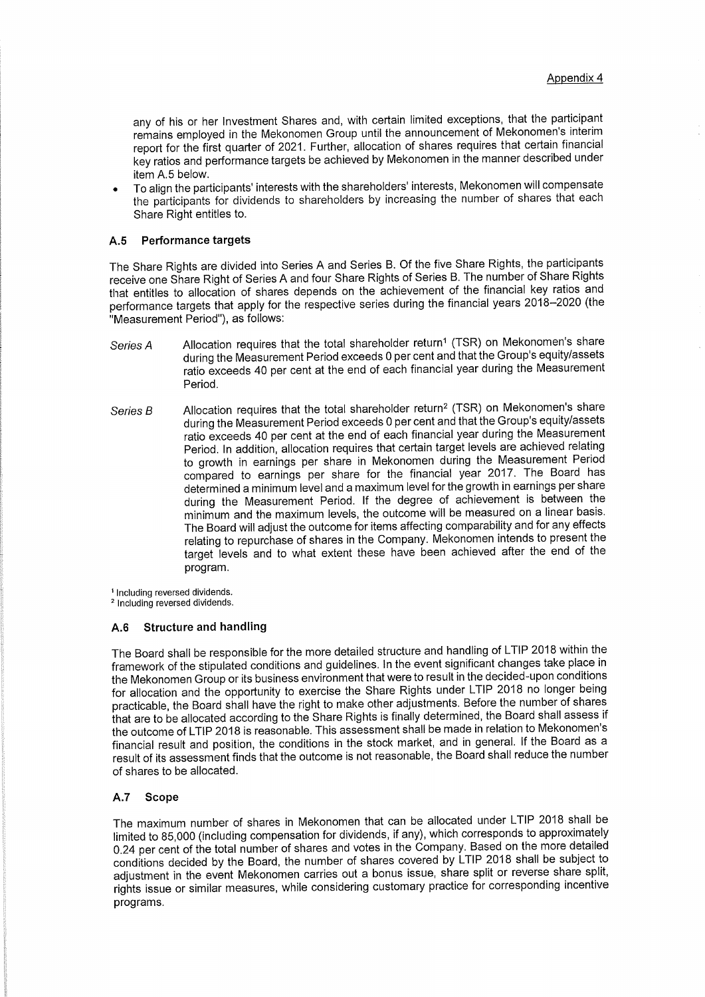any of his or her Investment Shares and, with certain limited exceptions, that the participant remains employed in the Mekonomen Group until the announcement of Mekonomen's interim report for the first quarter of 2021. Further, allocation of shares requires that certain financial key ratios and performance targets be achieved by Mekonomen in the manner described under item A.5 below.

To align the participants' interests with the shareholders' interests, Mekonomen will compensate the participants for dividends to shareholders by increasing the number of shares that each Share Right entitles to.

#### $A.5$ Performance targets

The Share Rights are divided into Series A and Series B. Of the five Share Rights, the participants receive one Share Right of Series A and four Share Rights of Series B. The number of Share Rights that entitles to allocation of shares depends on the achievement of the financial key ratios and performance targets that apply for the respective series during the financial years 2018-2020 (the "Measurement Period"), as follows:

- Allocation requires that the total shareholder return<sup>1</sup> (TSR) on Mekonomen's share Series A during the Measurement Period exceeds 0 per cent and that the Group's equity/assets ratio exceeds 40 per cent at the end of each financial year during the Measurement Period.
- Allocation requires that the total shareholder return<sup>2</sup> (TSR) on Mekonomen's share Series B during the Measurement Period exceeds 0 per cent and that the Group's equity/assets ratio exceeds 40 per cent at the end of each financial year during the Measurement Period. In addition, allocation requires that certain target levels are achieved relating to growth in earnings per share in Mekonomen during the Measurement Period compared to earnings per share for the financial year 2017. The Board has determined a minimum level and a maximum level for the growth in earnings per share during the Measurement Period. If the degree of achievement is between the minimum and the maximum levels, the outcome will be measured on a linear basis. The Board will adjust the outcome for items affecting comparability and for any effects relating to repurchase of shares in the Company. Mekonomen intends to present the target levels and to what extent these have been achieved after the end of the program.

<sup>1</sup> Including reversed dividends.

<sup>2</sup> Including reversed dividends.

#### **Structure and handling**  $A.6$

The Board shall be responsible for the more detailed structure and handling of LTIP 2018 within the framework of the stipulated conditions and guidelines. In the event significant changes take place in the Mekonomen Group or its business environment that were to result in the decided-upon conditions for allocation and the opportunity to exercise the Share Rights under LTIP 2018 no longer being practicable, the Board shall have the right to make other adjustments. Before the number of shares that are to be allocated according to the Share Rights is finally determined, the Board shall assess if the outcome of LTIP 2018 is reasonable. This assessment shall be made in relation to Mekonomen's financial result and position, the conditions in the stock market, and in general. If the Board as a result of its assessment finds that the outcome is not reasonable, the Board shall reduce the number of shares to be allocated.

#### $A.7$ Scope

The maximum number of shares in Mekonomen that can be allocated under LTIP 2018 shall be limited to 85,000 (including compensation for dividends, if any), which corresponds to approximately 0.24 per cent of the total number of shares and votes in the Company. Based on the more detailed conditions decided by the Board, the number of shares covered by LTIP 2018 shall be subject to adjustment in the event Mekonomen carries out a bonus issue, share split or reverse share split, rights issue or similar measures, while considering customary practice for corresponding incentive programs.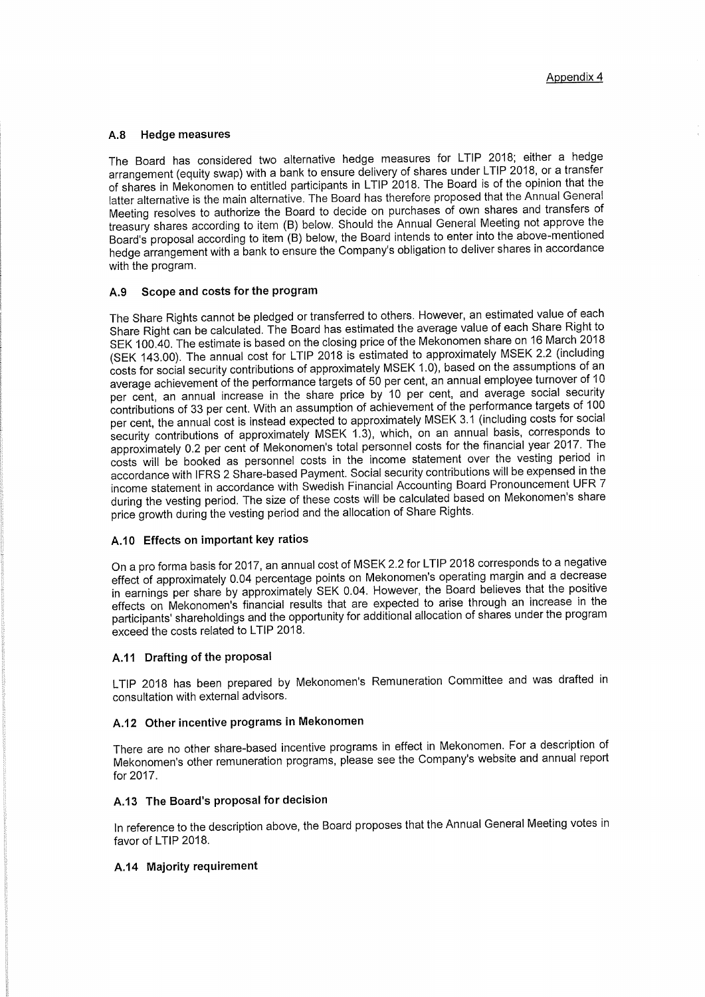#### $A.8$ **Hedge measures**

The Board has considered two alternative hedge measures for LTIP 2018; either a hedge arrangement (equity swap) with a bank to ensure delivery of shares under LTIP 2018, or a transfer of shares in Mekonomen to entitled participants in LTIP 2018. The Board is of the opinion that the latter alternative is the main alternative. The Board has therefore proposed that the Annual General Meeting resolves to authorize the Board to decide on purchases of own shares and transfers of treasury shares according to item (B) below. Should the Annual General Meeting not approve the Board's proposal according to item (B) below, the Board intends to enter into the above-mentioned hedge arrangement with a bank to ensure the Company's obligation to deliver shares in accordance with the program.

#### Scope and costs for the program A.9

The Share Rights cannot be pledged or transferred to others. However, an estimated value of each Share Right can be calculated. The Board has estimated the average value of each Share Right to SEK 100.40. The estimate is based on the closing price of the Mekonomen share on 16 March 2018 (SEK 143.00). The annual cost for LTIP 2018 is estimated to approximately MSEK 2.2 (including costs for social security contributions of approximately MSEK 1.0), based on the assumptions of an average achievement of the performance targets of 50 per cent, an annual employee turnover of 10 per cent, an annual increase in the share price by 10 per cent, and average social security contributions of 33 per cent. With an assumption of achievement of the performance targets of 100 per cent, the annual cost is instead expected to approximately MSEK 3.1 (including costs for social security contributions of approximately MSEK 1.3), which, on an annual basis, corresponds to approximately 0.2 per cent of Mekonomen's total personnel costs for the financial year 2017. The costs will be booked as personnel costs in the income statement over the vesting period in accordance with IFRS 2 Share-based Payment. Social security contributions will be expensed in the income statement in accordance with Swedish Financial Accounting Board Pronouncement UFR 7 during the vesting period. The size of these costs will be calculated based on Mekonomen's share price growth during the vesting period and the allocation of Share Rights.

### A.10 Effects on important key ratios

On a pro forma basis for 2017, an annual cost of MSEK 2.2 for LTIP 2018 corresponds to a negative effect of approximately 0.04 percentage points on Mekonomen's operating margin and a decrease in earnings per share by approximately SEK 0.04. However, the Board believes that the positive effects on Mekonomen's financial results that are expected to arise through an increase in the participants' shareholdings and the opportunity for additional allocation of shares under the program exceed the costs related to LTIP 2018.

### A.11 Drafting of the proposal

LTIP 2018 has been prepared by Mekonomen's Remuneration Committee and was drafted in consultation with external advisors.

# A.12 Other incentive programs in Mekonomen

There are no other share-based incentive programs in effect in Mekonomen. For a description of Mekonomen's other remuneration programs, please see the Company's website and annual report for 2017.

## A.13 The Board's proposal for decision

In reference to the description above, the Board proposes that the Annual General Meeting votes in favor of LTIP 2018.

### A.14 Majority requirement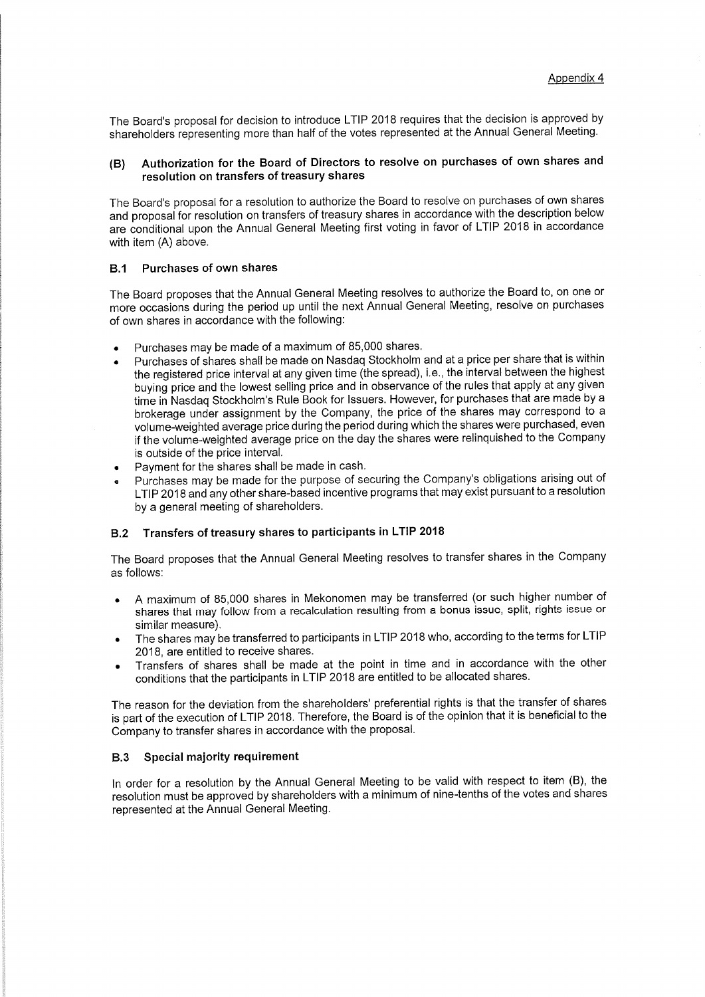The Board's proposal for decision to introduce LTIP 2018 requires that the decision is approved by shareholders representing more than half of the votes represented at the Annual General Meeting.

### Authorization for the Board of Directors to resolve on purchases of own shares and  $(B)$ resolution on transfers of treasury shares

The Board's proposal for a resolution to authorize the Board to resolve on purchases of own shares and proposal for resolution on transfers of treasury shares in accordance with the description below are conditional upon the Annual General Meeting first voting in favor of LTIP 2018 in accordance with item (A) above.

### **Purchases of own shares**  $B.1$

The Board proposes that the Annual General Meeting resolves to authorize the Board to, on one or more occasions during the period up until the next Annual General Meeting, resolve on purchases of own shares in accordance with the following:

- Purchases may be made of a maximum of 85,000 shares.
- Purchases of shares shall be made on Nasdag Stockholm and at a price per share that is within the registered price interval at any given time (the spread), i.e., the interval between the highest buying price and the lowest selling price and in observance of the rules that apply at any given time in Nasdag Stockholm's Rule Book for Issuers. However, for purchases that are made by a brokerage under assignment by the Company, the price of the shares may correspond to a volume-weighted average price during the period during which the shares were purchased, even if the volume-weighted average price on the day the shares were relinguished to the Company is outside of the price interval.
- Payment for the shares shall be made in cash.
- Purchases may be made for the purpose of securing the Company's obligations arising out of LTIP 2018 and any other share-based incentive programs that may exist pursuant to a resolution by a general meeting of shareholders.

#### Transfers of treasury shares to participants in LTIP 2018  $B.2$

The Board proposes that the Annual General Meeting resolves to transfer shares in the Company as follows:

- A maximum of 85,000 shares in Mekonomen may be transferred (or such higher number of shares that may follow from a recalculation resulting from a bonus issue, split, rights issue or similar measure).
- The shares may be transferred to participants in LTIP 2018 who, according to the terms for LTIP 2018, are entitled to receive shares.
- Transfers of shares shall be made at the point in time and in accordance with the other conditions that the participants in LTIP 2018 are entitled to be allocated shares.

The reason for the deviation from the shareholders' preferential rights is that the transfer of shares is part of the execution of LTIP 2018. Therefore, the Board is of the opinion that it is beneficial to the Company to transfer shares in accordance with the proposal.

#### Special majority requirement  $B.3$

In order for a resolution by the Annual General Meeting to be valid with respect to item (B), the resolution must be approved by shareholders with a minimum of nine-tenths of the votes and shares represented at the Annual General Meeting.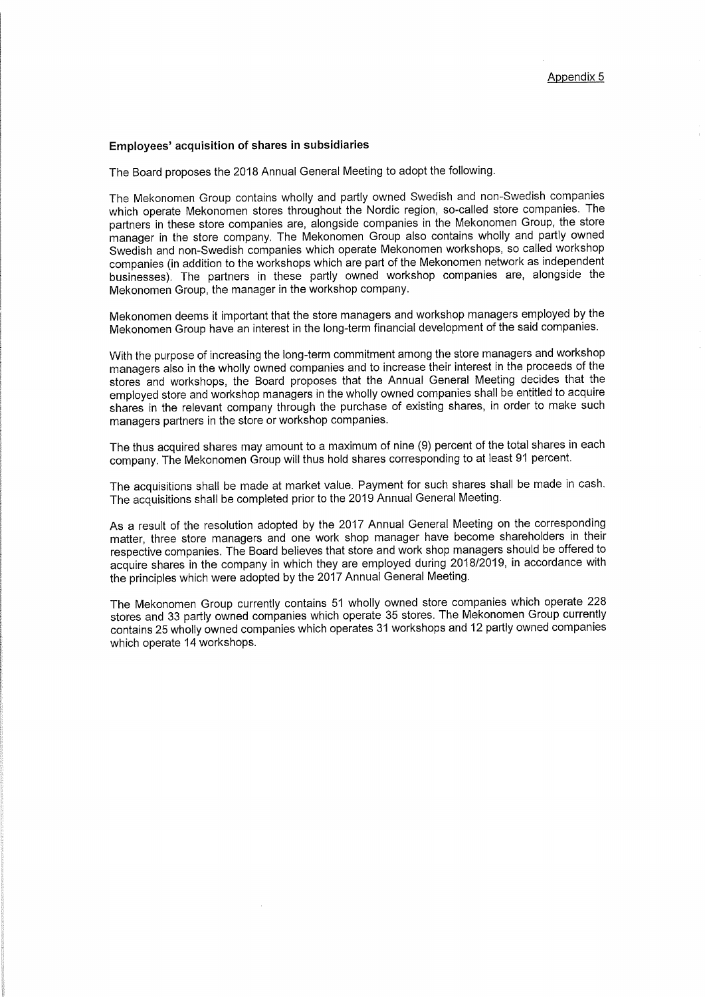### Employees' acquisition of shares in subsidiaries

The Board proposes the 2018 Annual General Meeting to adopt the following.

The Mekonomen Group contains wholly and partly owned Swedish and non-Swedish companies which operate Mekonomen stores throughout the Nordic region, so-called store companies. The partners in these store companies are, alongside companies in the Mekonomen Group, the store manager in the store company. The Mekonomen Group also contains wholly and partly owned Swedish and non-Swedish companies which operate Mekonomen workshops, so called workshop companies (in addition to the workshops which are part of the Mekonomen network as independent businesses). The partners in these partly owned workshop companies are, alongside the Mekonomen Group, the manager in the workshop company.

Mekonomen deems it important that the store managers and workshop managers employed by the Mekonomen Group have an interest in the long-term financial development of the said companies.

With the purpose of increasing the long-term commitment among the store managers and workshop managers also in the wholly owned companies and to increase their interest in the proceeds of the stores and workshops, the Board proposes that the Annual General Meeting decides that the employed store and workshop managers in the wholly owned companies shall be entitled to acquire shares in the relevant company through the purchase of existing shares, in order to make such managers partners in the store or workshop companies.

The thus acquired shares may amount to a maximum of nine (9) percent of the total shares in each company. The Mekonomen Group will thus hold shares corresponding to at least 91 percent.

The acquisitions shall be made at market value. Payment for such shares shall be made in cash. The acquisitions shall be completed prior to the 2019 Annual General Meeting.

As a result of the resolution adopted by the 2017 Annual General Meeting on the corresponding matter, three store managers and one work shop manager have become shareholders in their respective companies. The Board believes that store and work shop managers should be offered to acquire shares in the company in which they are employed during 2018/2019, in accordance with the principles which were adopted by the 2017 Annual General Meeting.

The Mekonomen Group currently contains 51 wholly owned store companies which operate 228 stores and 33 partly owned companies which operate 35 stores. The Mekonomen Group currently contains 25 wholly owned companies which operates 31 workshops and 12 partly owned companies which operate 14 workshops.